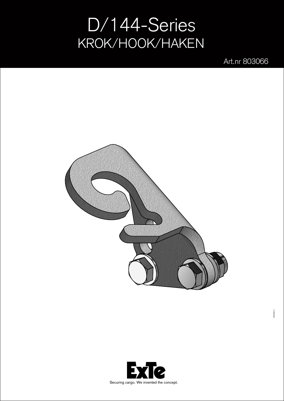## D/144-Series KROK/HOOK/HAKEN

Art.nr 803066



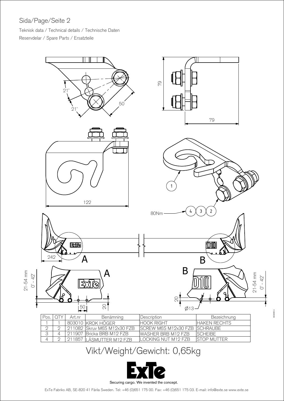## Sida/Page/Seite 2

Teknisk data / Technical details / Technische Daten Reservdelar / Spare Parts / Ersatzteile



## Vikt/Weight/Gewicht: 0,65kg

4 2 211857 LÅSMUTTER M12 FZB LOCKING NUT M12 FZB STOP MUTTER



ExTe Fabriks AB, SE-820 41 Flrila Sweden. Tel: +46 (0)651 175 00. Fax: +46 (0)651 175 03. E-mail: info@exte.se www.exte.se